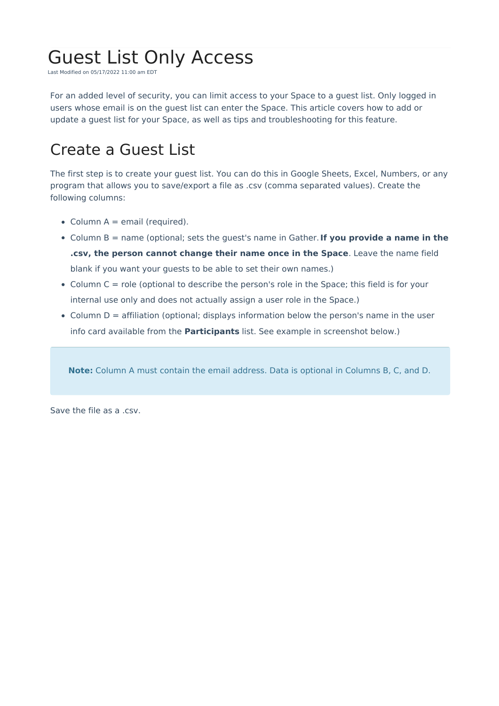# Guest List Only Access

Last Modified on 05/17/2022 11:00 am EDT

For an added level of security, you can limit access to your Space to a guest list. Only logged in users whose email is on the guest list can enter the Space. This article covers how to add or update a guest list for your Space, as well as tips and troubleshooting for this feature.

## Create a Guest List

The first step is to create your guest list. You can do this in Google Sheets, Excel, Numbers, or any program that allows you to save/export a file as .csv (comma separated values). Create the following columns:

- Column  $A =$  email (required).
- Column B = name (optional; sets the guest's name in Gather.**If you provide a name in the .csv, the person cannot change their name once in the Space**. Leave the name field blank if you want your guests to be able to set their own names.)
- $\bullet$  Column C = role (optional to describe the person's role in the Space; this field is for your internal use only and does not actually assign a user role in the Space.)
- Column D = affiliation (optional; displays information below the person's name in the user info card available from the **Participants** list. See example in screenshot below.)

**Note:** Column A must contain the email address. Data is optional in Columns B, C, and D.

Save the file as a .csv.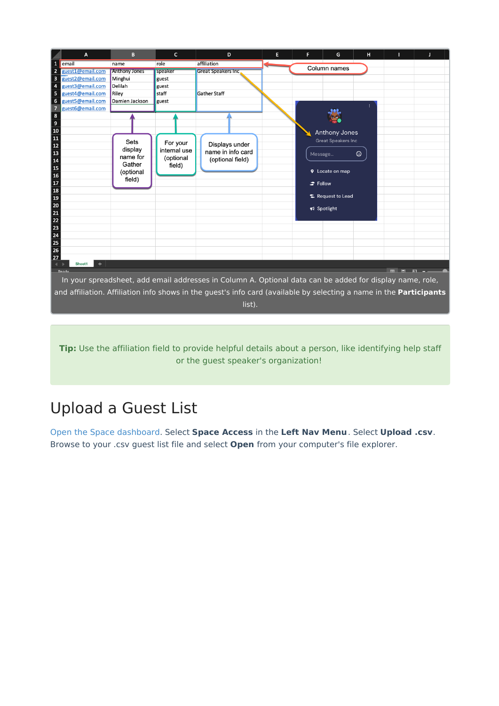

**Tip:** Use the affiliation field to provide helpful details about a person, like identifying help staff or the guest speaker's organization!

# Upload a Guest List

Open the Space [dashboard](http://support.gather.town/help/dashboard). Select **Space Access** in the **Left Nav Menu**. Select **Upload .csv**. Browse to your .csv guest list file and select **Open** from your computer's file explorer.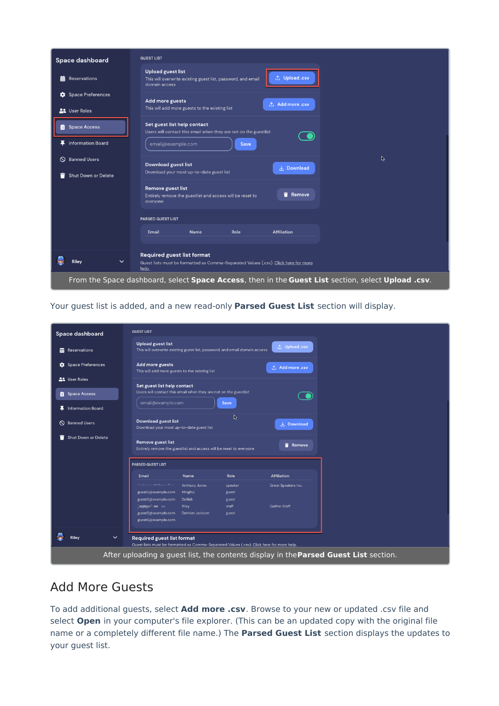| Space dashboard                                                                                    | <b>GUEST LIST</b>                                                                                                                 |  |  |  |  |  |  |
|----------------------------------------------------------------------------------------------------|-----------------------------------------------------------------------------------------------------------------------------------|--|--|--|--|--|--|
| Reservations<br>龠                                                                                  | <b>Upload guest list</b><br>① Upload .csv<br>This will overwrite existing guest list, password, and email<br>domain access        |  |  |  |  |  |  |
| Space Preferences<br><b>22</b> User Roles                                                          | Add more guests<br>① Add more .csv<br>This will add more guests to the existing list                                              |  |  |  |  |  |  |
| <b>自</b> Space Access                                                                              | Set guest list help contact<br>Users will contact this email when they are not on the guestlist                                   |  |  |  |  |  |  |
| <b>Information Board</b><br>x.                                                                     | email@example.com<br>Save                                                                                                         |  |  |  |  |  |  |
| <b>Banned Users</b><br>$\circ$                                                                     | R<br><b>Download guest list</b>                                                                                                   |  |  |  |  |  |  |
| Shut Down or Delete<br>−                                                                           | <b>と</b> Download<br>Download your most up-to-date guest list                                                                     |  |  |  |  |  |  |
|                                                                                                    | Remove guest list<br><b>Remove</b><br>Entirely remove the guestlist and access will be reset to<br>everyone                       |  |  |  |  |  |  |
|                                                                                                    | <b>PARSED GUEST LIST</b>                                                                                                          |  |  |  |  |  |  |
|                                                                                                    | Email<br>Role<br><b>Affiliation</b><br><b>Name</b>                                                                                |  |  |  |  |  |  |
| Riley<br>$\checkmark$                                                                              | <b>Required guest list format</b><br>Guest lists must be formatted as Comma-Separated Values (.csv). Click here for more<br>help. |  |  |  |  |  |  |
| From the Space dashboard, select Space Access, then in the Guest List section, select Upload .csv. |                                                                                                                                   |  |  |  |  |  |  |

Your guest list is added, and a new read-only **Parsed Guest List** section will display.

| Space dashboard                                                                                                                                                                          | <b>GUEST LIST</b>                                                                               |                                     |                                                                            |                     |  |  |
|------------------------------------------------------------------------------------------------------------------------------------------------------------------------------------------|-------------------------------------------------------------------------------------------------|-------------------------------------|----------------------------------------------------------------------------|---------------------|--|--|
| Reservations                                                                                                                                                                             | <b>Upload guest list</b>                                                                        |                                     | This will overwrite existing guest list, password, and email domain access | ↑, Upload .csv      |  |  |
| Space Preferences                                                                                                                                                                        | Add more guests<br>① Add more .csv<br>This will add more guests to the existing list            |                                     |                                                                            |                     |  |  |
| <b>22</b> User Roles<br>Space Access                                                                                                                                                     | Set guest list help contact<br>Users will contact this email when they are not on the guestlist |                                     |                                                                            |                     |  |  |
| <b>革</b> Information Board                                                                                                                                                               | email@example.com                                                                               |                                     | Save                                                                       |                     |  |  |
| <b>S</b> Banned Users                                                                                                                                                                    | <b>Download guest list</b><br>Download your most up-to-date guest list                          |                                     | B                                                                          | L. Download         |  |  |
| Shut Down or Delete                                                                                                                                                                      | <b>Remove guest list</b><br>Entirely remove the guestlist and access will be reset to everyone  |                                     |                                                                            | Remove              |  |  |
|                                                                                                                                                                                          | <b>PARSED GUEST LIST</b>                                                                        |                                     |                                                                            |                     |  |  |
|                                                                                                                                                                                          | <b>Email</b>                                                                                    | <b>Name</b>                         | Role                                                                       | <b>Affiliation</b>  |  |  |
|                                                                                                                                                                                          | they the proposition of a second collection<br>guest2@example.com<br>guest3@example.com         | Anthony Jones<br>Minghui<br>Delilah | speaker<br>guest<br>guest                                                  | Great Speakers Inc. |  |  |
|                                                                                                                                                                                          | b <del>ygger</del> for the sec<br>guest5@example.com<br>guest6@example.com                      | Riley<br>Damien Jackson             | staff<br>guest                                                             | <b>Gather Staff</b> |  |  |
| Riley<br>$\checkmark$                                                                                                                                                                    | <b>Required guest list format</b>                                                               |                                     |                                                                            |                     |  |  |
| Guest lists must be formatted as Comma-Separated Values (.csv). Click here for more help.<br>After uploading a guest list, the contents display in the <b>Parsed Guest List</b> section. |                                                                                                 |                                     |                                                                            |                     |  |  |

### Add More Guests

To add additional guests, select **Add more .csv**. Browse to your new or updated .csv file and select **Open** in your computer's file explorer. (This can be an updated copy with the original file name or a completely different file name.) The **Parsed Guest List** section displays the updates to your guest list.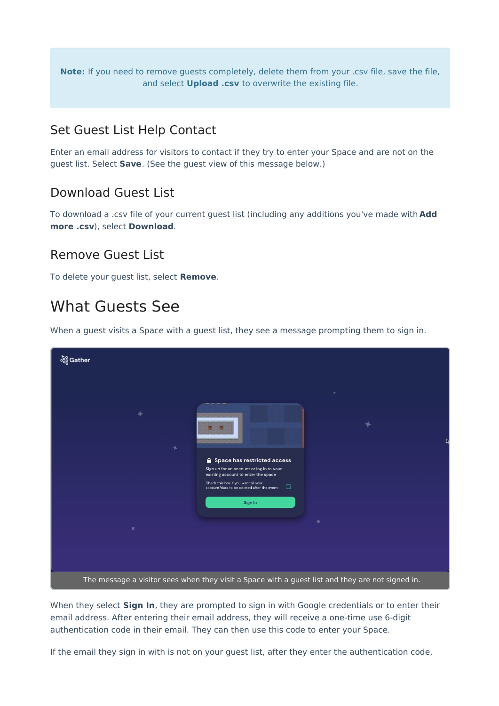**Note:** If you need to remove guests completely, delete them from your .csv file, save the file, and select **Upload .csv** to overwrite the existing file.

#### Set Guest List Help Contact

Enter an email address for visitors to contact if they try to enter your Space and are not on the guest list. Select **Save**. (See the guest view of this message below.)

#### Download Guest List

To download a .csv file of your current guest list (including any additions you've made with **Add more .csv**), select **Download**.

#### Remove Guest List

To delete your guest list, select **Remove**.

### What Guests See

When a guest visits a Space with a guest list, they see a message prompting them to sign in.

| စ်စ္တိ Gather                                                                                    |                                                                                                                                                                                                                                |  |  |  |  |
|--------------------------------------------------------------------------------------------------|--------------------------------------------------------------------------------------------------------------------------------------------------------------------------------------------------------------------------------|--|--|--|--|
| ۰<br>÷.<br>$\mathbbmss{H}$                                                                       | Space has restricted access<br>Sign up for an account or log in to your<br>existing account to enter the space<br>Check this box if you want all your<br>$\Box$<br>account/data to be deleted after the event:<br>Sign In<br>٠ |  |  |  |  |
|                                                                                                  |                                                                                                                                                                                                                                |  |  |  |  |
| The message a visitor sees when they visit a Space with a guest list and they are not signed in. |                                                                                                                                                                                                                                |  |  |  |  |

When they select **Sign In**, they are prompted to sign in with Google credentials or to enter their email address. After entering their email address, they will receive a one-time use 6-digit authentication code in their email. They can then use this code to enter your Space.

If the email they sign in with is not on your guest list, after they enter the authentication code,